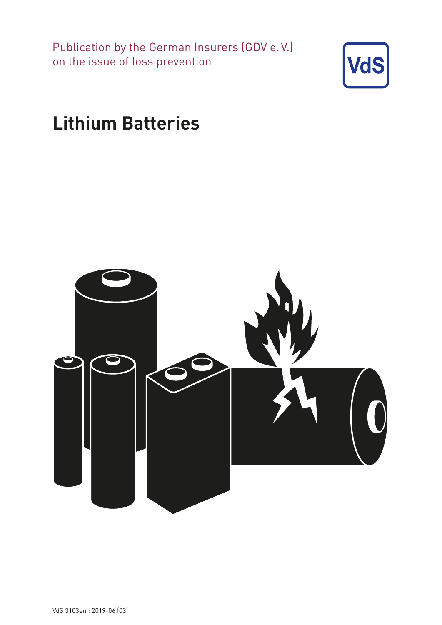Publication by the German Insurers (GDV e. V.) on the issue of loss prevention



# **Lithium Batteries**

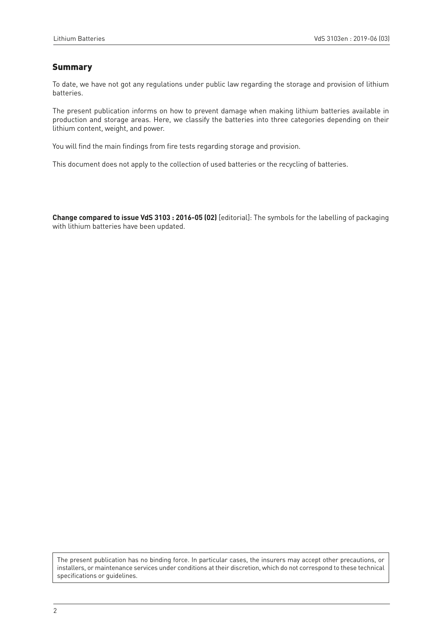# Summary

To date, we have not got any regulations under public law regarding the storage and provision of lithium batteries.

The present publication informs on how to prevent damage when making lithium batteries available in production and storage areas. Here, we classify the batteries into three categories depending on their lithium content, weight, and power.

You will find the main findings from fire tests regarding storage and provision.

This document does not apply to the collection of used batteries or the recycling of batteries.

**Change compared to issue VdS 3103 : 2016-05 (02)** [editorial]: The symbols for the labelling of packaging with lithium batteries have been updated.

The present publication has no binding force. In particular cases, the insurers may accept other precautions, or installers, or maintenance services under conditions at their discretion, which do not correspond to these technical specifications or guidelines.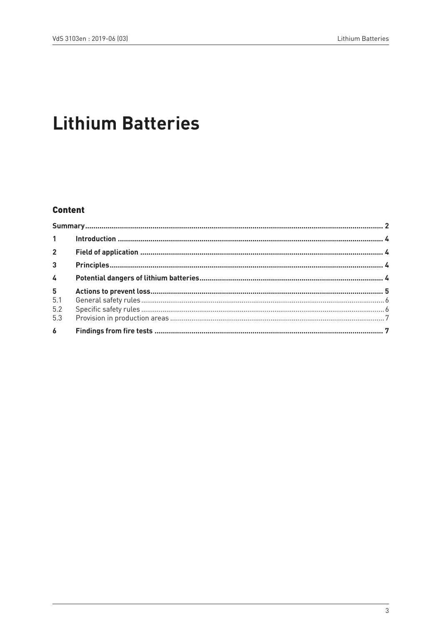# **Lithium Batteries**

# **Content**

| $2^{\circ}$    |  |  |
|----------------|--|--|
| 3 <sup>1</sup> |  |  |
| $\overline{4}$ |  |  |
| 5 <sup>1</sup> |  |  |
| 5.1            |  |  |
| 5.2            |  |  |
| 5.3            |  |  |
| $\overline{6}$ |  |  |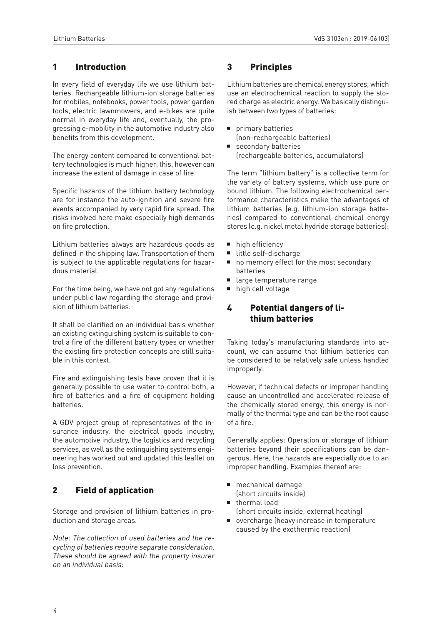## 1 Introduction

In every field of everyday life we use lithium batteries. Rechargeable lithium-ion storage batteries for mobiles, notebooks, power tools, power garden tools, electric lawnmowers, and e-bikes are quite normal in everyday life and, eventually, the progressing e-mobility in the automotive industry also benefits from this development.

The energy content compared to conventional battery technologies is much higher; this, however can increase the extent of damage in case of fire.

Specific hazards of the lithium battery technology are for instance the auto-ignition and severe fire events accompanied by very rapid fire spread. The risks involved here make especially high demands on fire protection.

Lithium batteries always are hazardous goods as defined in the shipping law. Transportation of them is subject to the applicable regulations for hazardous material.

For the time being, we have not got any regulations under public law regarding the storage and provision of lithium batteries.

It shall be clarified on an individual basis whether an existing extinguishing system is suitable to control a fire of the different battery types or whether the existing fire protection concepts are still suitable in this context.

Fire and extinguishing tests have proven that it is generally possible to use water to control both, a fire of batteries and a fire of equipment holding batteries.

A GDV project group of representatives of the insurance industry, the electrical goods industry, the automotive industry, the logistics and recycling services, as well as the extinguishing systems engineering has worked out and updated this leaflet on loss prevention.

# 2 Field of application

Storage and provision of lithium batteries in production and storage areas.

Note: The collection of used batteries and the recycling of batteries require separate consideration. These should be agreed with the property insurer on an individual basis:

# 3 Principles

Lithium batteries are chemical energy stores, which use an electrochemical reaction to supply the stored charge as electric energy. We basically distinguish between two types of batteries:

- $\blacksquare$  primary batteries (non-rechargeable batteries)
- $\blacksquare$  secondary batteries (rechargeable batteries, accumulators)

The term "lithium battery" is a collective term for the variety of battery systems, which use pure or bound lithium. The following electrochemical performance characteristics make the advantages of lithium batteries (e.g. lithium-ion storage batteries) compared to conventional chemical energy stores (e.g. nickel metal hydride storage batteries):

- $\blacksquare$  high efficiency
- $\blacksquare$  little self-discharge
- no memory effect for the most secondary batteries
- large temperature range
- $\blacksquare$  high cell voltage

# 4 Potential dangers of lithium batteries

Taking today's manufacturing standards into account, we can assume that lithium batteries can be considered to be relatively safe unless handled improperly.

However, if technical defects or improper handling cause an uncontrolled and accelerated release of the chemically stored energy, this energy is normally of the thermal type and can be the root cause of a fire.

Generally applies: Operation or storage of lithium batteries beyond their specifications can be dangerous. Here, the hazards are especially due to an improper handling. Examples thereof are:

- $\blacksquare$  mechanical damage (short circuits inside)
- $\blacksquare$  thermal load
- (short circuits inside, external heating)
- $\blacksquare$  overcharge (heavy increase in temperature caused by the exothermic reaction)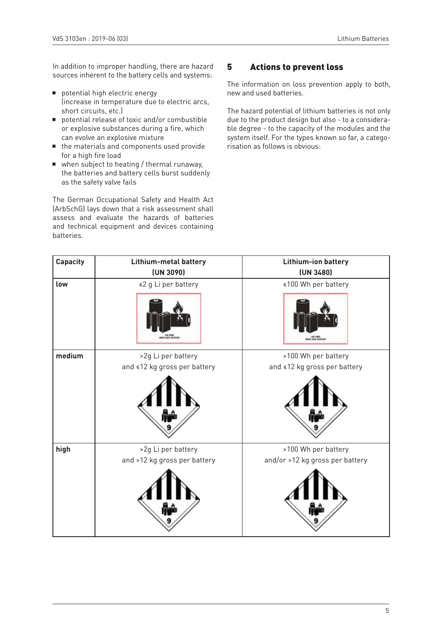In addition to improper handling, there are hazard sources inherent to the battery cells and systems:

- $\blacksquare$  potential high electric energy (increase in temperature due to electric arcs, short circuits, etc.)
- $\blacksquare$  potential release of toxic and/or combustible or explosive substances during a fire, which can evolve an explosive mixture
- $\blacksquare$  the materials and components used provide for a high fire load
- $\blacksquare$  when subject to heating / thermal runaway, the batteries and battery cells burst suddenly as the safety valve fails

The German Occupational Safety and Health Act (ArbSchG) lays down that a risk assessment shall assess and evaluate the hazards of batteries and technical equipment and devices containing batteries.

## 5 Actions to prevent loss

The information on loss prevention apply to both, new and used batteries.

The hazard potential of lithium batteries is not only due to the product design but also - to a considerable degree - to the capacity of the modules and the system itself. For the types known so far, a categorisation as follows is obvious:

| <b>Capacity</b> | Lithium-metal battery                                     | Lithium-ion battery              |
|-----------------|-----------------------------------------------------------|----------------------------------|
|                 | (UN 3090)                                                 | (UN 3480)                        |
| low             | ≼2 g Li per battery                                       | ≼100 Wh per battery              |
|                 | <b>KEE ESSEE</b><br>,,,,,,,,,,,,,,,,,,,,,,,,,,,,,,,,,,,,, | ,,,,,,,,,,,,,,,,,,,,,,,,,,,,,,,, |
| medium          | >2g Li per battery                                        | >100 Wh per battery              |
|                 | and ≤12 kg gross per battery                              | and ≤12 kg gross per battery     |
|                 |                                                           |                                  |
| high            | >2g Li per battery                                        | >100 Wh per battery              |
|                 | and >12 kg gross per battery                              | and/or >12 kg gross per battery  |
|                 |                                                           |                                  |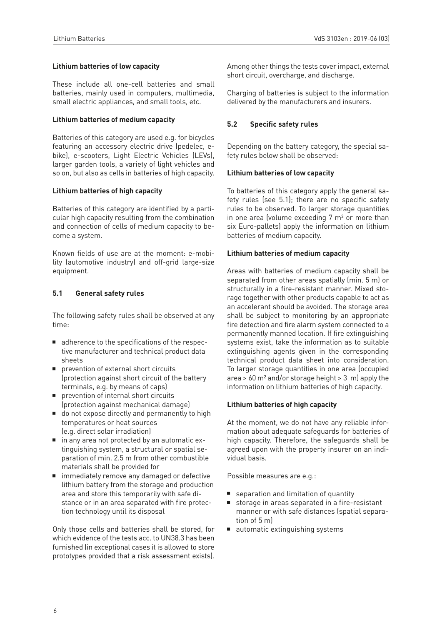## **Lithium batteries of low capacity**

These include all one-cell batteries and small batteries, mainly used in computers, multimedia, small electric appliances, and small tools, etc.

#### **Lithium batteries of medium capacity**

Batteries of this category are used e.g. for bicycles featuring an accessory electric drive (pedelec, ebike), e-scooters, Light Electric Vehicles (LEVs), larger garden tools, a variety of light vehicles and so on, but also as cells in batteries of high capacity.

#### **Lithium batteries of high capacity**

Batteries of this category are identified by a particular high capacity resulting from the combination and connection of cells of medium capacity to become a system.

Known fields of use are at the moment: e-mobility (automotive industry) and off-grid large-size equipment.

## **5.1 General safety rules**

The following safety rules shall be observed at any time:

- adherence to the specifications of the respective manufacturer and technical product data sheets
- $\blacksquare$  prevention of external short circuits (protection against short circuit of the battery terminals, e.g. by means of caps)
- $\blacksquare$  prevention of internal short circuits (protection against mechanical damage)
- $\blacksquare$  do not expose directly and permanently to high temperatures or heat sources (e.g. direct solar irradiation)
- in any area not protected by an automatic extinguishing system, a structural or spatial separation of min. 2.5 m from other combustible materials shall be provided for
- $\blacksquare$  immediately remove any damaged or defective lithium battery from the storage and production area and store this temporarily with safe distance or in an area separated with fire protection technology until its disposal

Only those cells and batteries shall be stored, for which evidence of the tests acc. to UN38.3 has been furnished (in exceptional cases it is allowed to store prototypes provided that a risk assessment exists).

Among other things the tests cover impact, external short circuit, overcharge, and discharge.

Charging of batteries is subject to the information delivered by the manufacturers and insurers.

## **5.2 Specific safety rules**

Depending on the battery category, the special safety rules below shall be observed:

#### **Lithium batteries of low capacity**

To batteries of this category apply the general safety rules (see 5.1); there are no specific safety rules to be observed. To larger storage quantities in one area (volume exceeding  $7 \text{ m}^3$  or more than six Euro-pallets) apply the information on lithium batteries of medium capacity.

#### **Lithium batteries of medium capacity**

Areas with batteries of medium capacity shall be separated from other areas spatially (min. 5 m) or structurally in a fire-resistant manner. Mixed storage together with other products capable to act as an accelerant should be avoided. The storage area shall be subject to monitoring by an appropriate fire detection and fire alarm system connected to a permanently manned location. If fire extinguishing systems exist, take the information as to suitable extinguishing agents given in the corresponding technical product data sheet into consideration. To larger storage quantities in one area (occupied area > 60 m² and/or storage height > 3 m) apply the information on lithium batteries of high capacity.

## **Lithium batteries of high capacity**

At the moment, we do not have any reliable information about adequate safeguards for batteries of high capacity. Therefore, the safeguards shall be agreed upon with the property insurer on an individual basis.

Possible measures are e.g.:

- $\blacksquare$  separation and limitation of quantity
- storage in areas separated in a fire-resistant manner or with safe distances (spatial separation of 5 m)
- $\blacksquare$  automatic extinguishing systems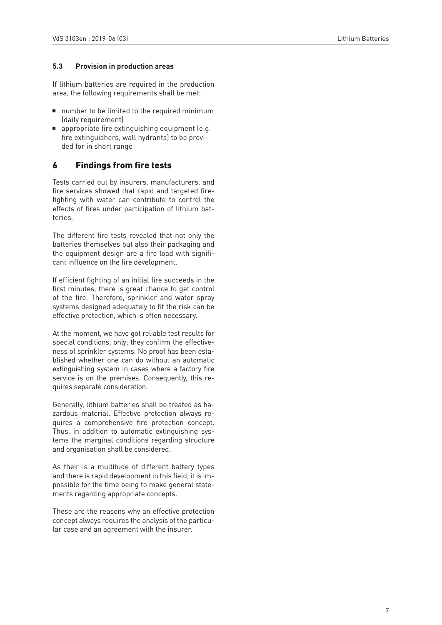#### **5.3 Provision in production areas**

If lithium batteries are required in the production area, the following requirements shall be met:

- $\blacksquare$  number to be limited to the required minimum (daily requirement)
- $\blacksquare$  appropriate fire extinguishing equipment (e.g. fire extinguishers, wall hydrants) to be provided for in short range

## 6 Findings from fire tests

Tests carried out by insurers, manufacturers, and fire services showed that rapid and targeted firefighting with water can contribute to control the effects of fires under participation of lithium batteries.

The different fire tests revealed that not only the batteries themselves but also their packaging and the equipment design are a fire load with significant influence on the fire development.

If efficient fighting of an initial fire succeeds in the first minutes, there is great chance to get control of the fire. Therefore, sprinkler and water spray systems designed adequately to fit the risk can be effective protection, which is often necessary.

At the moment, we have got reliable test results for special conditions, only; they confirm the effectiveness of sprinkler systems. No proof has been established whether one can do without an automatic extinguishing system in cases where a factory fire service is on the premises. Consequently, this requires separate consideration.

Generally, lithium batteries shall be treated as hazardous material. Effective protection always requires a comprehensive fire protection concept. Thus, in addition to automatic extinguishing systems the marginal conditions regarding structure and organisation shall be considered.

As their is a multitude of different battery types and there is rapid development in this field, it is impossible for the time being to make general statements regarding appropriate concepts.

These are the reasons why an effective protection concept always requires the analysis of the particular case and an agreement with the insurer.